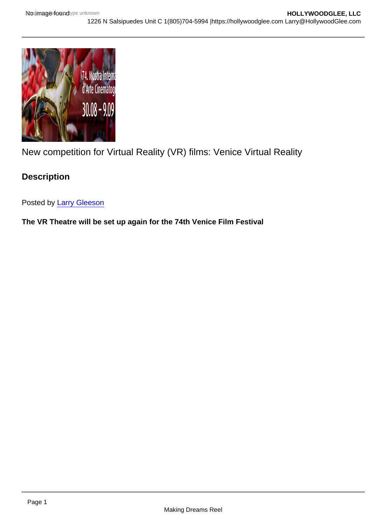## New competition for Virtual Reality (VR) films: Venice Virtual Reality

**Description** 

Posted by [Larry Gleeson](http://sbccfilmreviews.org/?s=Larry+Gleeson)

The VR Theatre will be set up again for the 74th Venice Film Festival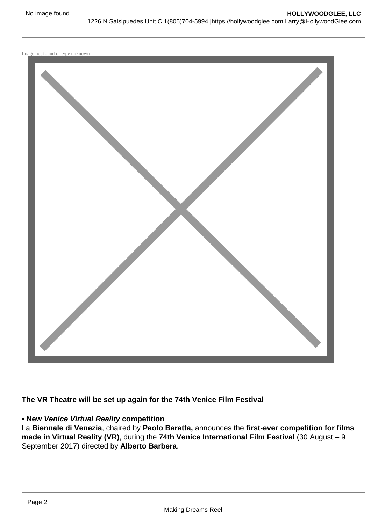

**The VR Theatre will be set up again for the 74th Venice Film Festival**

## • **New Venice Virtual Reality competition**

La **Biennale di Venezia**, chaired by **Paolo Baratta,** announces the **first-ever competition for films made in Virtual Reality (VR)**, during the **74th Venice International Film Festival** (30 August – 9 September 2017) directed by **Alberto Barbera**.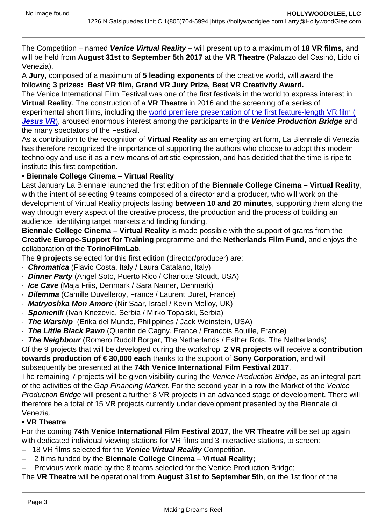The Competition – named Venice Virtual Reality – will present up to a maximum of 18 VR films, and will be held from August 31st to September 5th 2017 at the VR Theatre (Palazzo del Casinò, Lido di Venezia).

A Jury , composed of a maximum of 5 leading exponents of the creative world, will award the following 3 prizes: Best VR film, Grand VR Jury Prize, Best VR Creativity Award.

The Venice International Film Festival was one of the first festivals in the world to express interest in Virtual Reality . The construction of a VR Theatre in 2016 and the screening of a series of experimental short films, including the [world premiere presentation of the first feature-length VR film \(](https://hollywoodglee.com/2016/09/01/jesus-vr-comes-to-life-at-venice/) Jesus VR), aroused enormous interest among the participants in the Venice Production Bridge and the many spectators of the Festival.

As a contribution to the recognition of Virtual Reality as an emerging art form, La Biennale di Venezia has therefore recognized the importance of supporting the authors who choose to adopt this modern technology and use it as a new means of artistic expression, and has decided that the time is ripe to institute this first competition.

• Biennale College Cinema – Virtual Reality

Last January La Biennale launched the first edition of the Biennale College Cinema – Virtual Reality , with the intent of selecting 9 teams composed of a director and a producer, who will work on the development of Virtual Reality projects lasting between 10 and 20 minutes , supporting them along the way through every aspect of the creative process, the production and the process of building an audience, identifying target markets and finding funding.

Biennale College Cinema – Virtual Reality is made possible with the support of grants from the Creative Europe-Support for Training programme and the Netherlands Film Fund, and enjoys the collaboration of the TorinoFilmLab .

The 9 projects selected for this first edition (director/producer) are:

- · Chromatica (Flavio Costa, Italy / Laura Catalano, Italy)
- · Dinner Party (Angel Soto, Puerto Rico / Charlotte Stoudt, USA)
- · Ice Cave (Maja Friis, Denmark / Sara Namer, Denmark)
- · Dilemma (Camille Duvelleroy, France / Laurent Duret, France)
- · Matryoshka Mon Amore (Nir Saar, Israel / Kevin Molloy, UK)
- · Spomenik (Ivan Knezevic, Serbia / Mirko Topalski, Serbia)
- · The Warship (Erika del Mundo, Philippines / Jack Weinstein, USA)
- · The Little Black Pawn (Quentin de Cagny, France / Francois Bouille, France)

· The Neighbour (Romero Rudolf Borgar, The Netherlands / Esther Rots, The Netherlands)

Of the 9 projects that will be developed during the workshop, 2 VR projects will receive a contribution towards production of  $\epsilon$  30,000 each thanks to the support of Sony Corporation, and will subsequently be presented at the 74th Venice International Film Festival 2017

The remaining 7 projects will be given visibility during the Venice Production Bridge, as an integral part of the activities of the Gap Financing Market. For the second year in a row the Market of the Venice Production Bridge will present a further 8 VR projects in an advanced stage of development. There will therefore be a total of 15 VR projects currently under development presented by the Biennale di Venezia.

• VR Theatre

For the coming 74th Venice International Film Festival 2017 , the VR Theatre will be set up again with dedicated individual viewing stations for VR films and 3 interactive stations, to screen:

- 18 VR films selected for the Venice Virtual Reality Competition.
- 2 films funded by the Biennale College Cinema Virtual Reality;

– Previous work made by the 8 teams selected for the Venice Production Bridge;

The VR Theatre will be operational from August 31st to September 5th , on the 1st floor of the